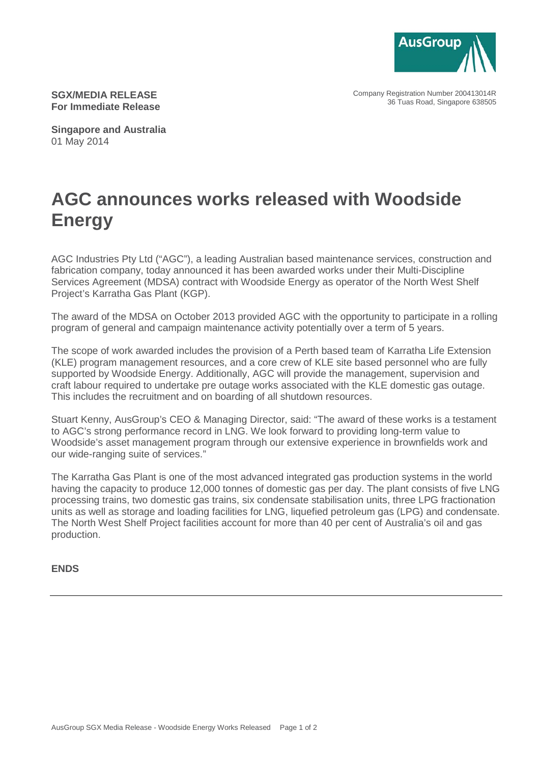

Company Registration Number 200413014R 36 Tuas Road, Singapore 638505

**SGX/MEDIA RELEASE For Immediate Release**

**Singapore and Australia** 01 May 2014

## **AGC announces works released with Woodside Energy**

AGC Industries Pty Ltd ("AGC"), a leading Australian based maintenance services, construction and fabrication company, today announced it has been awarded works under their Multi-Discipline Services Agreement (MDSA) contract with Woodside Energy as operator of the North West Shelf Project's Karratha Gas Plant (KGP).

The award of the MDSA on October 2013 provided AGC with the opportunity to participate in a rolling program of general and campaign maintenance activity potentially over a term of 5 years.

The scope of work awarded includes the provision of a Perth based team of Karratha Life Extension (KLE) program management resources, and a core crew of KLE site based personnel who are fully supported by Woodside Energy. Additionally, AGC will provide the management, supervision and craft labour required to undertake pre outage works associated with the KLE domestic gas outage. This includes the recruitment and on boarding of all shutdown resources.

Stuart Kenny, AusGroup's CEO & Managing Director, said: "The award of these works is a testament to AGC's strong performance record in LNG. We look forward to providing long-term value to Woodside's asset management program through our extensive experience in brownfields work and our wide-ranging suite of services."

The Karratha Gas Plant is one of the most advanced integrated gas production systems in the world having the capacity to produce 12,000 tonnes of domestic gas per day. The plant consists of five LNG processing trains, two domestic gas trains, six condensate stabilisation units, three LPG fractionation units as well as storage and loading facilities for LNG, liquefied petroleum gas (LPG) and condensate. The North West Shelf Project facilities account for more than 40 per cent of Australia's oil and gas production.

## **ENDS**